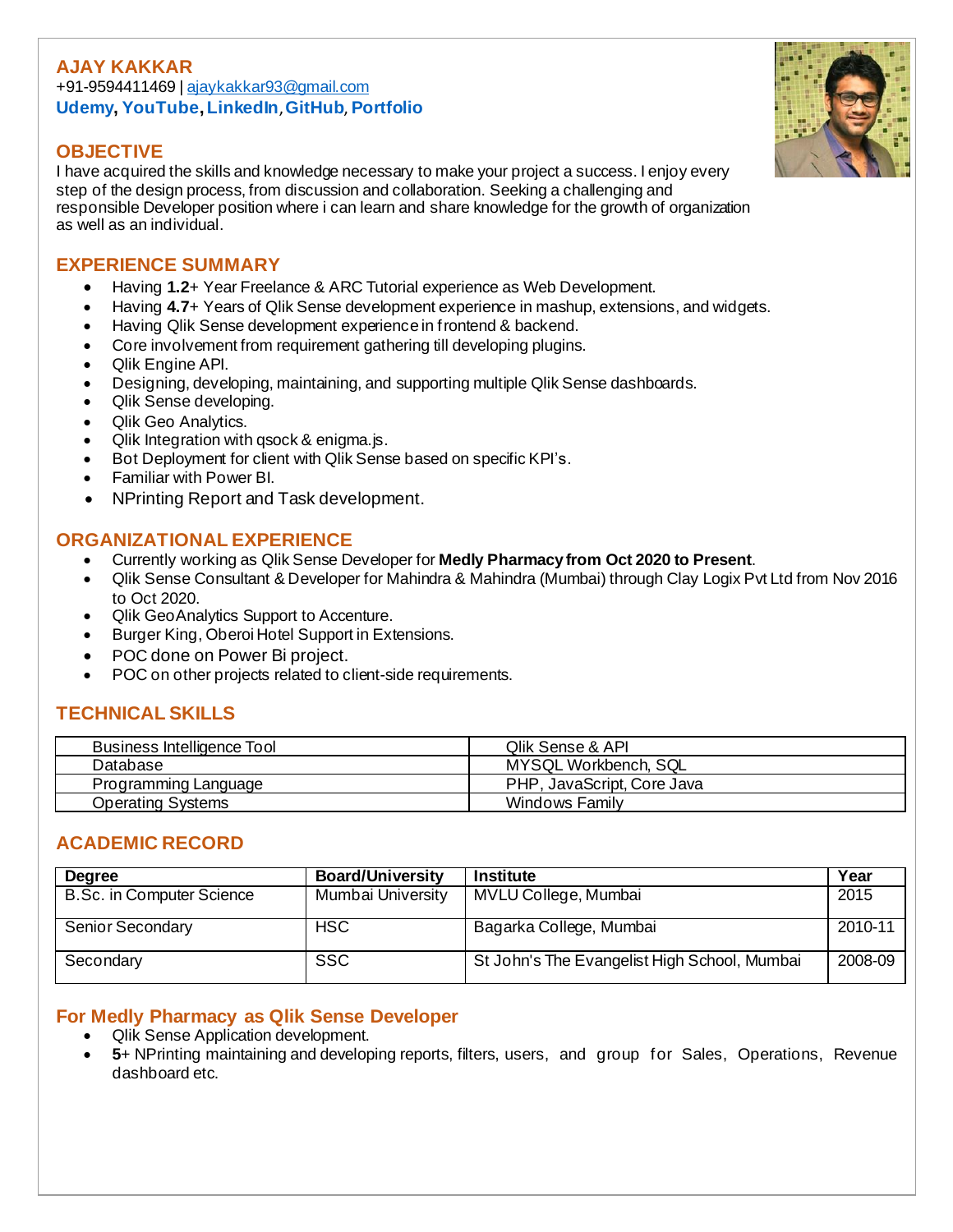### **AJAY KAKKAR** +91-9594411469 | [ajaykakkar93@gmail.com](mailto:ajaykakkar93@gmail.com) **[Udemy,](https://www.udemy.com/user/ajay-kakkar/) YouTube[,LinkedIn](https://in.linkedin.com/in/ajaykakkar93)**,**[GitHub](https://github.com/ajaykakkar93)**, **[Portfolio](https://ajaykakkar93.github.io/)**

## **OBJECTIVE**

I have acquired the skills and knowledge necessary to make your project a success. I enjoy every step of the design process, from discussion and collaboration. Seeking a challenging and responsible Developer position where i can learn and share knowledge for the growth of organization as well as an individual.

# **EXPERIENCE SUMMARY**

- Having **1.2**+ Year Freelance & ARC Tutorial experience as Web Development.
- Having **4.7**+ Years of Qlik Sense development experience in mashup, extensions, and widgets.
- Having Qlik Sense development experiencein frontend & backend.
- Core involvement from requirement gathering till developing plugins.
- Qlik Engine API.
- Designing, developing, maintaining, and supporting multiple Qlik Sense dashboards.
- Qlik Sense developing.
- Qlik Geo Analytics.
- Qlik Integration with qsock & enigma.js.
- Bot Deployment for client with Qlik Sense based on specific KPI's.
- Familiar with Power BI.
- NPrinting Report and Task development.

## **ORGANIZATIONAL EXPERIENCE**

- Currently working as Qlik Sense Developer for **Medly Pharmacy from Oct 2020 to Present**.
- Qlik Sense Consultant & Developer for Mahindra & Mahindra (Mumbai) through Clay Logix Pvt Ltd from Nov 2016 to Oct 2020.
- Qlik GeoAnalytics Support to Accenture.
- Burger King, Oberoi Hotel Support in Extensions.
- POC done on Power Bi project.
- POC on other projects related to client-side requirements.

# **TECHNICAL SKILLS**

| Business Intelligence Tool | <b>Qlik Sense &amp; API</b> |
|----------------------------|-----------------------------|
| Database                   | MYSQL Workbench, SQL        |
| Programming Language       | PHP, JavaScript, Core Java  |
| Operating Systems          | Windows Family              |

### **ACADEMIC RECORD**

| <b>Degree</b>             | <b>Board/University</b> | <b>Institute</b>                             | Year    |
|---------------------------|-------------------------|----------------------------------------------|---------|
| B.Sc. in Computer Science | Mumbai University       | MVLU College, Mumbai                         | 2015    |
| <b>Senior Secondary</b>   | <b>HSC</b>              | Bagarka College, Mumbai                      | 2010-11 |
| Secondary                 | <b>SSC</b>              | St John's The Evangelist High School, Mumbai | 2008-09 |

### **For Medly Pharmacy as Qlik Sense Developer**

- Qlik Sense Application development.
- **5**+ NPrinting maintaining and developing reports, filters, users, and group for Sales, Operations, Revenue dashboard etc.

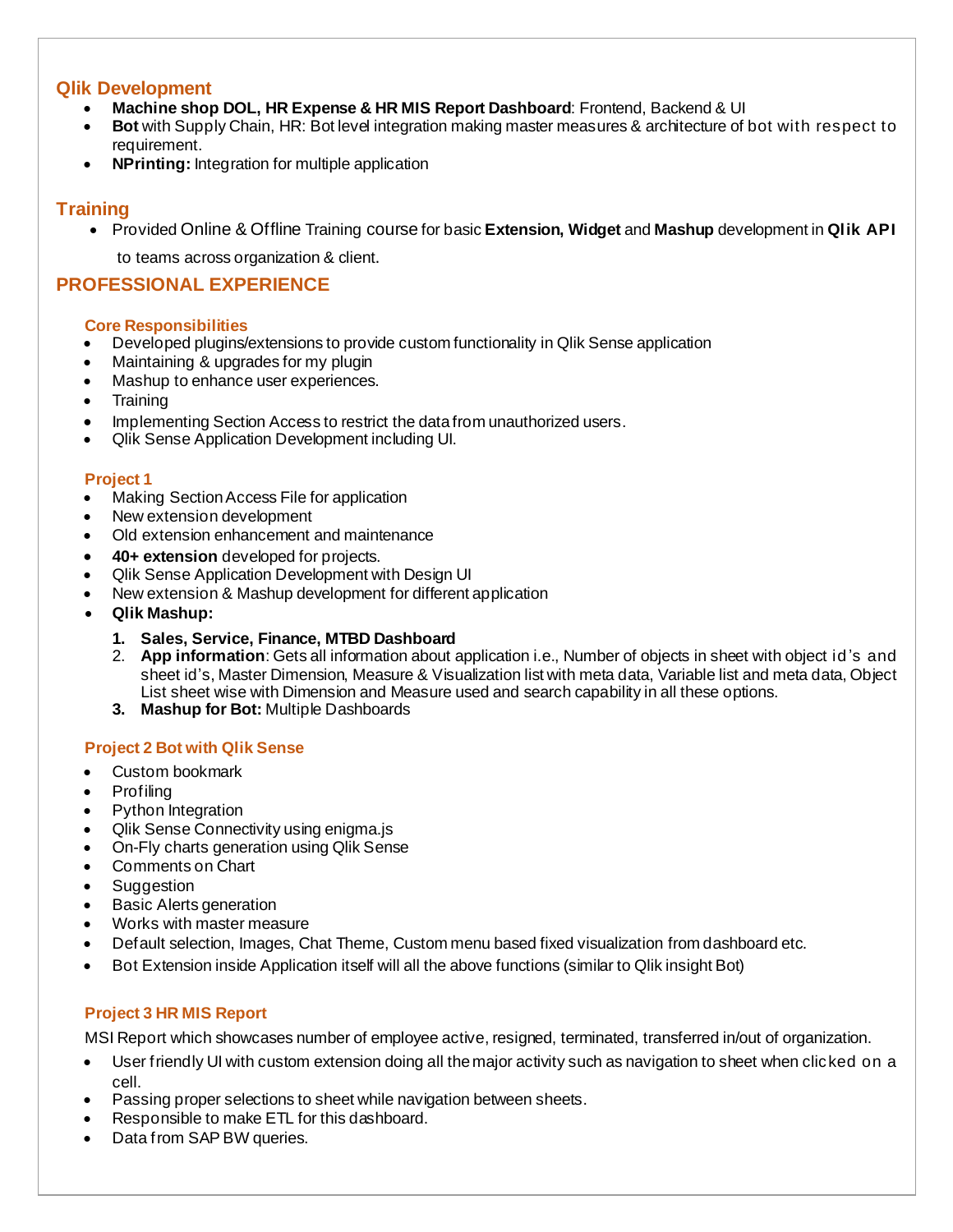### **Qlik Development**

- **Machine shop DOL, HR Expense & HR MIS Report Dashboard**: Frontend, Backend & UI
- **Bot** with Supply Chain, HR: Bot level integration making master measures & architecture of bot with respect to requirement.
- **NPrinting:** Integration for multiple application

### **Training**

• Provided Online & Offline Training course for basic **Extension, Widget** and **Mashup** development in **Qlik API** to teams across organization & client.

### **PROFESSIONAL EXPERIENCE**

#### **Core Responsibilities**

- Developed plugins/extensions to provide custom functionality in Qlik Sense application
- Maintaining & upgrades for my plugin
- Mashup to enhance user experiences.
- **Training**
- Implementing Section Access to restrict the data from unauthorized users.
- Qlik Sense Application Development including UI.

#### **Project 1**

- Making Section Access File for application
- New extension development
- Old extension enhancement and maintenance
- **40+ extension** developed for projects.
- Qlik Sense Application Development with Design UI
- New extension & Mashup development for different application
- **Qlik Mashup:**
	- **1. Sales, Service, Finance, MTBD Dashboard**
	- 2. **App information**: Gets all information about application i.e., Number of objects in sheet with object id 's and sheet id's, Master Dimension, Measure & Visualization list with meta data, Variable list and meta data, Object List sheet wise with Dimension and Measure used and search capability in all these options.
	- **3. Mashup for Bot:** Multiple Dashboards

#### **Project 2 Bot with Qlik Sense**

- Custom bookmark
- Profiling
- Python Integration
- Qlik Sense Connectivity using enigma.js
- On-Fly charts generation using Qlik Sense
- Comments on Chart
- **Suggestion**
- **Basic Alerts generation**
- Works with master measure
- Default selection, Images, Chat Theme, Custom menu based fixed visualization from dashboard etc.
- Bot Extension inside Application itself will all the above functions (similar to Qlik insight Bot)

### **Project 3 HR MIS Report**

MSI Report which showcases number of employee active, resigned, terminated, transferred in/out of organization.

- User friendly UI with custom extension doing all the major activity such as navigation to sheet when clicked on a cell.
- Passing proper selections to sheet while navigation between sheets.
- Responsible to make ETL for this dashboard.
- Data from SAP BW queries.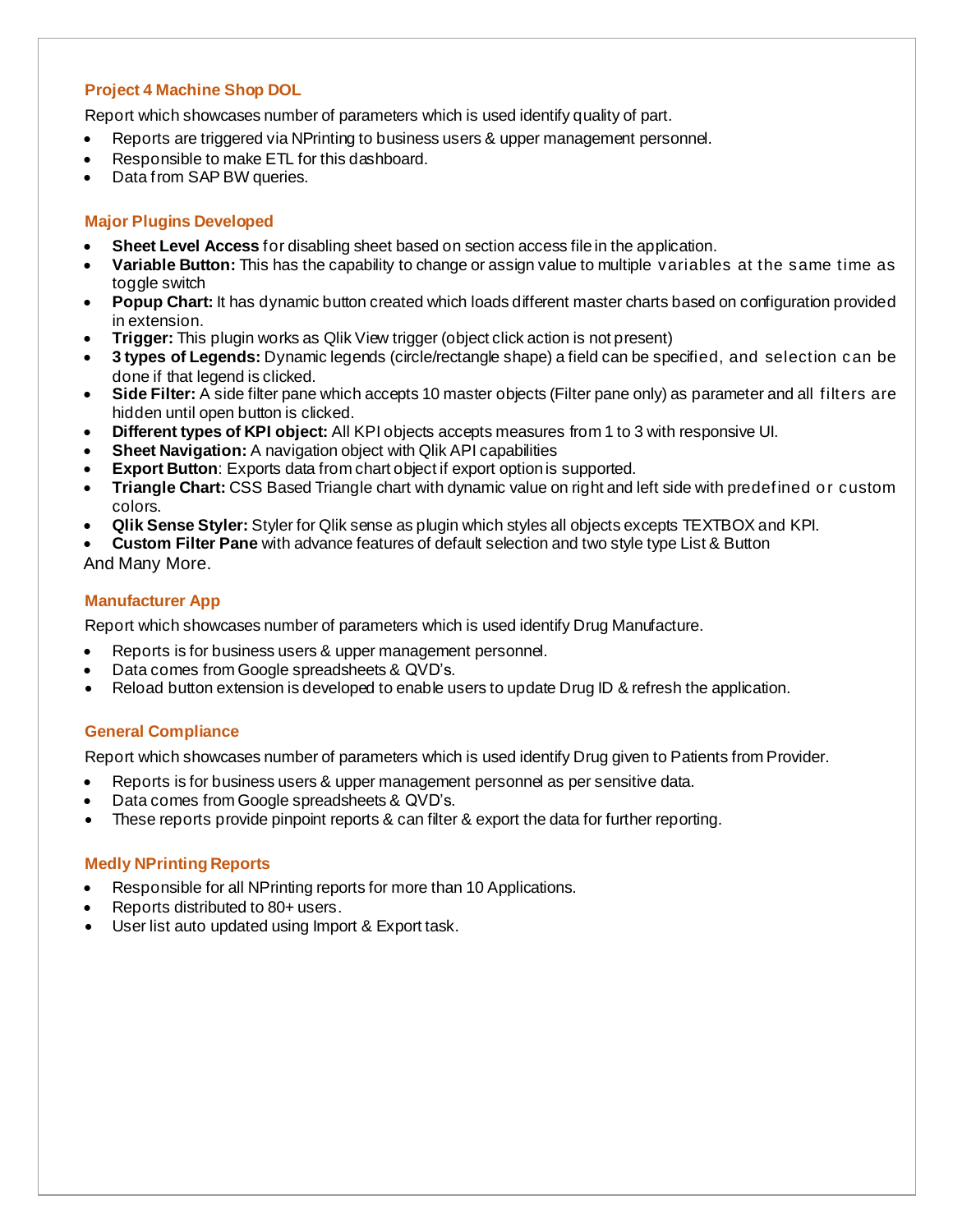#### **Project 4 Machine Shop DOL**

Report which showcases number of parameters which is used identify quality of part.

- Reports are triggered via NPrinting to business users & upper management personnel.
- Responsible to make ETL for this dashboard.
- Data from SAP BW queries.

#### **Major Plugins Developed**

- **Sheet Level Access** for disabling sheet based on section access file in the application.
- **Variable Button:** This has the capability to change or assign value to multiple variables at the same time as toggle switch
- **Popup Chart:** It has dynamic button created which loads different master charts based on configuration provided in extension.
- **Trigger:** This plugin works as Qlik View trigger (object click action is not present)
- **3 types of Legends:** Dynamic legends (circle/rectangle shape) a field can be specified, and selection can be done if that legend is clicked.
- **Side Filter:** A side filter pane which accepts 10 master objects (Filter pane only) as parameter and all filters are hidden until open button is clicked.
- **Different types of KPI object:** All KPI objects accepts measures from 1 to 3 with responsive UI.
- **Sheet Navigation:** A navigation object with Qlik API capabilities
- **Export Button:** Exports data from chart object if export option is supported.
- **Triangle Chart:** CSS Based Triangle chart with dynamic value on right and left side with predefined or custom colors.
- **Qlik Sense Styler:** Styler for Qlik sense as plugin which styles all objects excepts TEXTBOX and KPI.
- **Custom Filter Pane** with advance features of default selection and two style type List & Button And Many More.

#### **Manufacturer App**

Report which showcases number of parameters which is used identify Drug Manufacture.

- Reports is for business users & upper management personnel.
- Data comes from Google spreadsheets & QVD's.
- Reload button extension is developed to enable users to update Drug ID & refresh the application.

#### **General Compliance**

Report which showcases number of parameters which is used identify Drug given to Patients from Provider.

- Reports is for business users & upper management personnel as per sensitive data.
- Data comes from Google spreadsheets & QVD's.
- These reports provide pinpoint reports & can filter & export the data for further reporting.

#### **Medly NPrinting Reports**

- Responsible for all NPrinting reports for more than 10 Applications.
- Reports distributed to 80+ users.
- User list auto updated using Import & Export task.